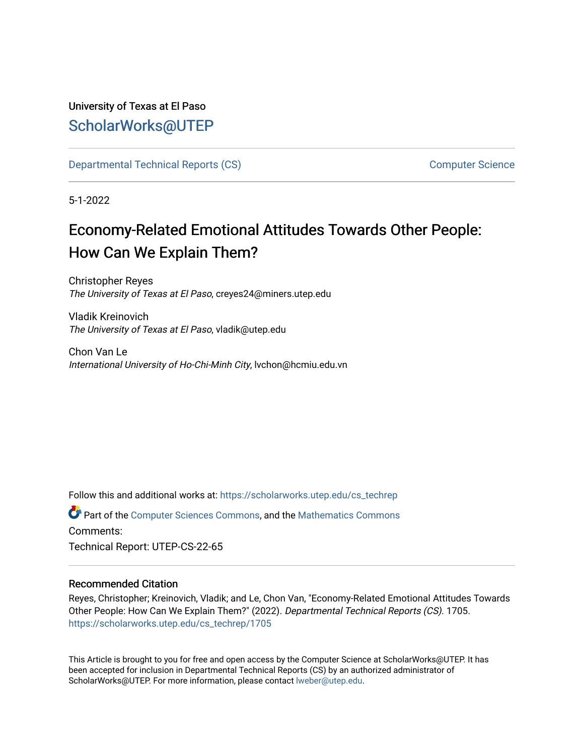# University of Texas at El Paso [ScholarWorks@UTEP](https://scholarworks.utep.edu/)

[Departmental Technical Reports \(CS\)](https://scholarworks.utep.edu/cs_techrep) [Computer Science](https://scholarworks.utep.edu/computer) 

5-1-2022

# Economy-Related Emotional Attitudes Towards Other People: How Can We Explain Them?

Christopher Reyes The University of Texas at El Paso, creyes24@miners.utep.edu

Vladik Kreinovich The University of Texas at El Paso, vladik@utep.edu

Chon Van Le International University of Ho-Chi-Minh City, lvchon@hcmiu.edu.vn

Follow this and additional works at: [https://scholarworks.utep.edu/cs\\_techrep](https://scholarworks.utep.edu/cs_techrep?utm_source=scholarworks.utep.edu%2Fcs_techrep%2F1705&utm_medium=PDF&utm_campaign=PDFCoverPages) 

Part of the [Computer Sciences Commons](https://network.bepress.com/hgg/discipline/142?utm_source=scholarworks.utep.edu%2Fcs_techrep%2F1705&utm_medium=PDF&utm_campaign=PDFCoverPages), and the [Mathematics Commons](https://network.bepress.com/hgg/discipline/174?utm_source=scholarworks.utep.edu%2Fcs_techrep%2F1705&utm_medium=PDF&utm_campaign=PDFCoverPages)  Comments:

Technical Report: UTEP-CS-22-65

# Recommended Citation

Reyes, Christopher; Kreinovich, Vladik; and Le, Chon Van, "Economy-Related Emotional Attitudes Towards Other People: How Can We Explain Them?" (2022). Departmental Technical Reports (CS). 1705. [https://scholarworks.utep.edu/cs\\_techrep/1705](https://scholarworks.utep.edu/cs_techrep/1705?utm_source=scholarworks.utep.edu%2Fcs_techrep%2F1705&utm_medium=PDF&utm_campaign=PDFCoverPages) 

This Article is brought to you for free and open access by the Computer Science at ScholarWorks@UTEP. It has been accepted for inclusion in Departmental Technical Reports (CS) by an authorized administrator of ScholarWorks@UTEP. For more information, please contact [lweber@utep.edu](mailto:lweber@utep.edu).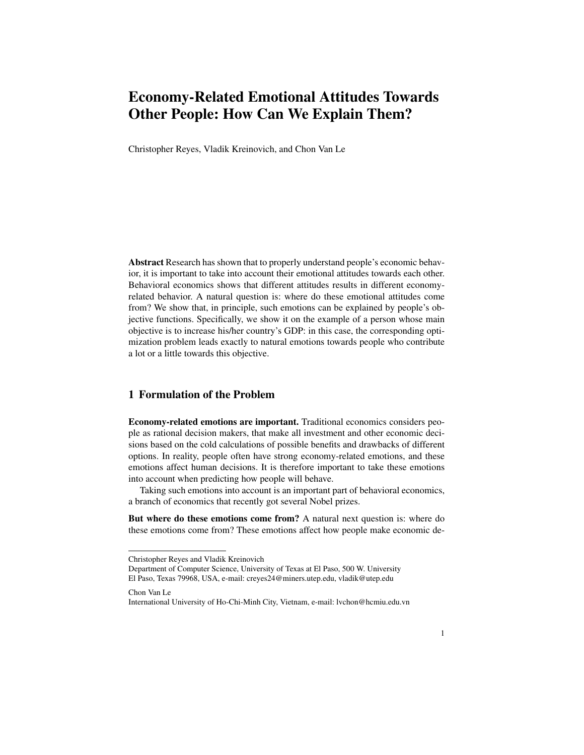# Economy-Related Emotional Attitudes Towards Other People: How Can We Explain Them?

Christopher Reyes, Vladik Kreinovich, and Chon Van Le

Abstract Research has shown that to properly understand people's economic behavior, it is important to take into account their emotional attitudes towards each other. Behavioral economics shows that different attitudes results in different economyrelated behavior. A natural question is: where do these emotional attitudes come from? We show that, in principle, such emotions can be explained by people's objective functions. Specifically, we show it on the example of a person whose main objective is to increase his/her country's GDP: in this case, the corresponding optimization problem leads exactly to natural emotions towards people who contribute a lot or a little towards this objective.

## 1 Formulation of the Problem

Economy-related emotions are important. Traditional economics considers people as rational decision makers, that make all investment and other economic decisions based on the cold calculations of possible benefits and drawbacks of different options. In reality, people often have strong economy-related emotions, and these emotions affect human decisions. It is therefore important to take these emotions into account when predicting how people will behave.

Taking such emotions into account is an important part of behavioral economics, a branch of economics that recently got several Nobel prizes.

But where do these emotions come from? A natural next question is: where do these emotions come from? These emotions affect how people make economic de-

Chon Van Le International University of Ho-Chi-Minh City, Vietnam, e-mail: lvchon@hcmiu.edu.vn

Christopher Reyes and Vladik Kreinovich

Department of Computer Science, University of Texas at El Paso, 500 W. University El Paso, Texas 79968, USA, e-mail: creyes24@miners.utep.edu, vladik@utep.edu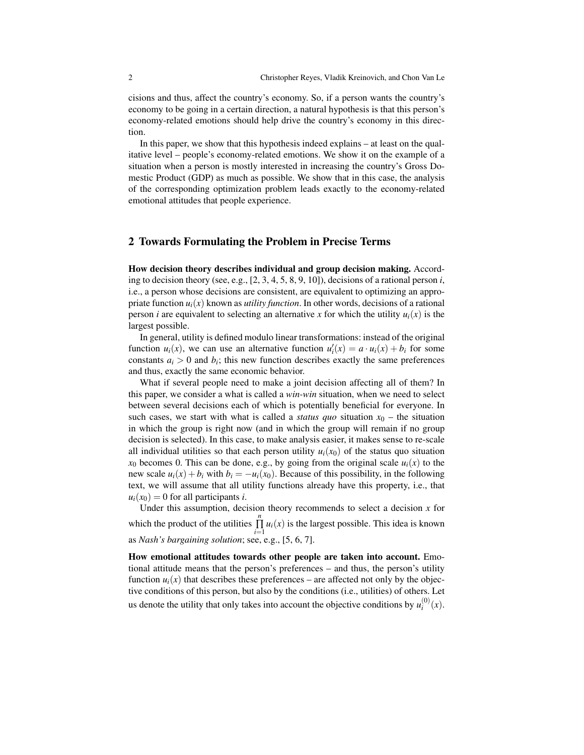cisions and thus, affect the country's economy. So, if a person wants the country's economy to be going in a certain direction, a natural hypothesis is that this person's economy-related emotions should help drive the country's economy in this direction.

In this paper, we show that this hypothesis indeed explains – at least on the qualitative level – people's economy-related emotions. We show it on the example of a situation when a person is mostly interested in increasing the country's Gross Domestic Product (GDP) as much as possible. We show that in this case, the analysis of the corresponding optimization problem leads exactly to the economy-related emotional attitudes that people experience.

### 2 Towards Formulating the Problem in Precise Terms

How decision theory describes individual and group decision making. According to decision theory (see, e.g., [2, 3, 4, 5, 8, 9, 10]), decisions of a rational person *i*, i.e., a person whose decisions are consistent, are equivalent to optimizing an appropriate function  $u_i(x)$  known as *utility function*. In other words, decisions of a rational person *i* are equivalent to selecting an alternative *x* for which the utility  $u_i(x)$  is the largest possible.

In general, utility is defined modulo linear transformations: instead of the original function  $u_i(x)$ , we can use an alternative function  $u'_i(x) = a \cdot u_i(x) + b_i$  for some constants  $a_i > 0$  and  $b_i$ ; this new function describes exactly the same preferences and thus, exactly the same economic behavior.

What if several people need to make a joint decision affecting all of them? In this paper, we consider a what is called a *win-win* situation, when we need to select between several decisions each of which is potentially beneficial for everyone. In such cases, we start with what is called a *status quo* situation  $x_0$  – the situation in which the group is right now (and in which the group will remain if no group decision is selected). In this case, to make analysis easier, it makes sense to re-scale all individual utilities so that each person utility  $u_i(x_0)$  of the status quo situation  $x_0$  becomes 0. This can be done, e.g., by going from the original scale  $u_i(x)$  to the new scale  $u_i(x) + b_i$  with  $b_i = -u_i(x_0)$ . Because of this possibility, in the following text, we will assume that all utility functions already have this property, i.e., that  $u_i(x_0) = 0$  for all participants *i*.

Under this assumption, decision theory recommends to select a decision  $x$  for which the product of the utilities  $\prod_{r=1}^{n}$  $\prod_{i=1} u_i(x)$  is the largest possible. This idea is known as *Nash's bargaining solution*; see, e.g., [5, 6, 7].

How emotional attitudes towards other people are taken into account. Emotional attitude means that the person's preferences – and thus, the person's utility function  $u_i(x)$  that describes these preferences – are affected not only by the objective conditions of this person, but also by the conditions (i.e., utilities) of others. Let us denote the utility that only takes into account the objective conditions by  $u_i^{(0)}$  $i^{(0)}(x)$ .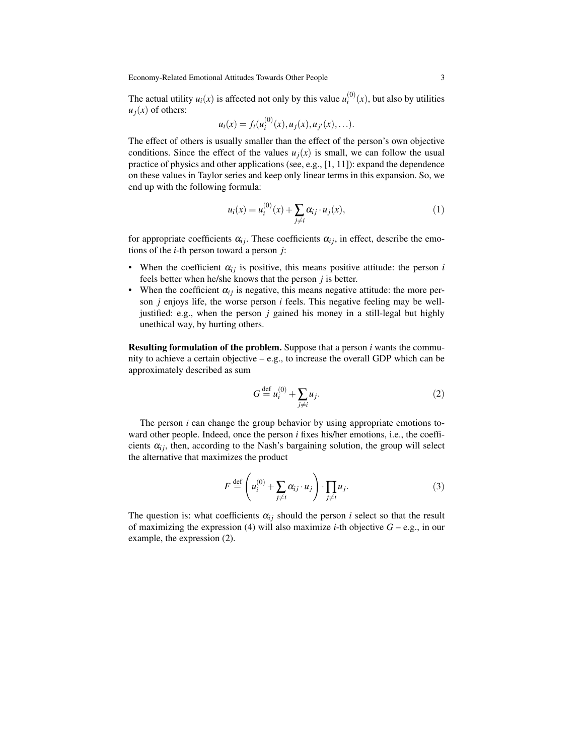Economy-Related Emotional Attitudes Towards Other People 3

The actual utility  $u_i(x)$  is affected not only by this value  $u_i^{(0)}$  $i^{(0)}(x)$ , but also by utilities  $u_j(x)$  of others:

$$
u_i(x) = f_i(u_i^{(0)}(x), u_j(x), u_{j'}(x), \ldots).
$$

The effect of others is usually smaller than the effect of the person's own objective conditions. Since the effect of the values  $u_j(x)$  is small, we can follow the usual practice of physics and other applications (see, e.g., [1, 11]): expand the dependence on these values in Taylor series and keep only linear terms in this expansion. So, we end up with the following formula:

$$
u_i(x) = u_i^{(0)}(x) + \sum_{j \neq i} \alpha_{ij} \cdot u_j(x), \qquad (1)
$$

for appropriate coefficients  $\alpha_{ij}$ . These coefficients  $\alpha_{ij}$ , in effect, describe the emotions of the *i*-th person toward a person *j*:

- When the coefficient  $\alpha_{ij}$  is positive, this means positive attitude: the person *i* feels better when he/she knows that the person *j* is better.
- When the coefficient  $\alpha_{ij}$  is negative, this means negative attitude: the more person *j* enjoys life, the worse person *i* feels. This negative feeling may be welljustified: e.g., when the person *j* gained his money in a still-legal but highly unethical way, by hurting others.

Resulting formulation of the problem. Suppose that a person *i* wants the community to achieve a certain objective – e.g., to increase the overall GDP which can be approximately described as sum

$$
G \stackrel{\text{def}}{=} u_i^{(0)} + \sum_{j \neq i} u_j. \tag{2}
$$

The person *i* can change the group behavior by using appropriate emotions toward other people. Indeed, once the person *i* fixes his/her emotions, i.e., the coefficients  $\alpha_{ij}$ , then, according to the Nash's bargaining solution, the group will select the alternative that maximizes the product

$$
F \stackrel{\text{def}}{=} \left( u_i^{(0)} + \sum_{j \neq i} \alpha_{ij} \cdot u_j \right) \cdot \prod_{j \neq i} u_j. \tag{3}
$$

The question is: what coefficients  $\alpha_{ij}$  should the person *i* select so that the result of maximizing the expression (4) will also maximize *i*-th objective  $G - e.g.,$  in our example, the expression (2).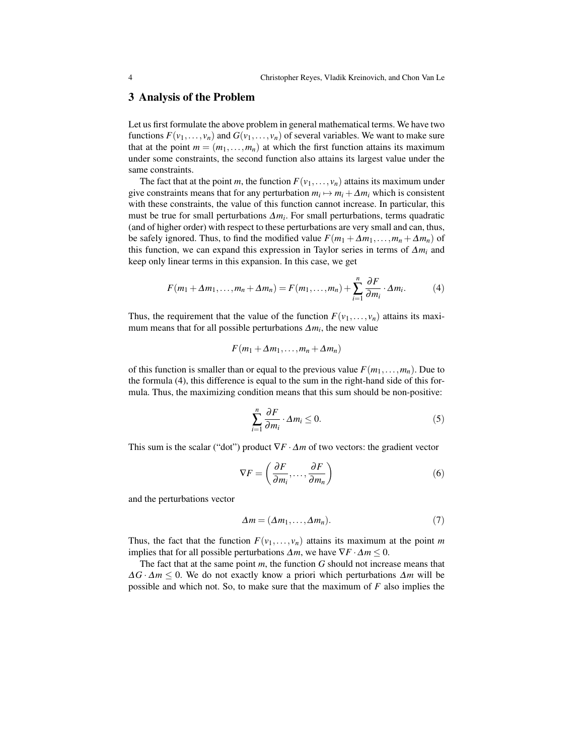#### 3 Analysis of the Problem

Let us first formulate the above problem in general mathematical terms. We have two functions  $F(v_1,..., v_n)$  and  $G(v_1,..., v_n)$  of several variables. We want to make sure that at the point  $m = (m_1, \ldots, m_n)$  at which the first function attains its maximum under some constraints, the second function also attains its largest value under the same constraints.

The fact that at the point *m*, the function  $F(v_1,..., v_n)$  attains its maximum under give constraints means that for any perturbation  $m_i \mapsto m_i + \Delta m_i$  which is consistent with these constraints, the value of this function cannot increase. In particular, this must be true for small perturbations ∆*m<sup>i</sup>* . For small perturbations, terms quadratic (and of higher order) with respect to these perturbations are very small and can, thus, be safely ignored. Thus, to find the modified value  $F(m_1 + \Delta m_1, \ldots, m_n + \Delta m_n)$  of this function, we can expand this expression in Taylor series in terms of ∆*m<sup>i</sup>* and keep only linear terms in this expansion. In this case, we get

$$
F(m_1 + \Delta m_1, \dots, m_n + \Delta m_n) = F(m_1, \dots, m_n) + \sum_{i=1}^n \frac{\partial F}{\partial m_i} \cdot \Delta m_i.
$$
 (4)

Thus, the requirement that the value of the function  $F(v_1,..., v_n)$  attains its maximum means that for all possible perturbations  $\Delta m_i$ , the new value

$$
F(m_1+\Delta m_1,\ldots,m_n+\Delta m_n)
$$

of this function is smaller than or equal to the previous value  $F(m_1, \ldots, m_n)$ . Due to the formula (4), this difference is equal to the sum in the right-hand side of this formula. Thus, the maximizing condition means that this sum should be non-positive:

$$
\sum_{i=1}^{n} \frac{\partial F}{\partial m_i} \cdot \Delta m_i \le 0. \tag{5}
$$

This sum is the scalar ("dot") product  $\nabla F \cdot \Delta m$  of two vectors: the gradient vector

$$
\nabla F = \left(\frac{\partial F}{\partial m_i}, \dots, \frac{\partial F}{\partial m_n}\right) \tag{6}
$$

and the perturbations vector

$$
\Delta m = (\Delta m_1, \dots, \Delta m_n). \tag{7}
$$

Thus, the fact that the function  $F(v_1,..., v_n)$  attains its maximum at the point *m* implies that for all possible perturbations  $\Delta m$ , we have  $\nabla F \cdot \Delta m \leq 0$ .

The fact that at the same point *m*, the function *G* should not increase means that ∆*G* · ∆*m* ≤ 0. We do not exactly know a priori which perturbations ∆*m* will be possible and which not. So, to make sure that the maximum of *F* also implies the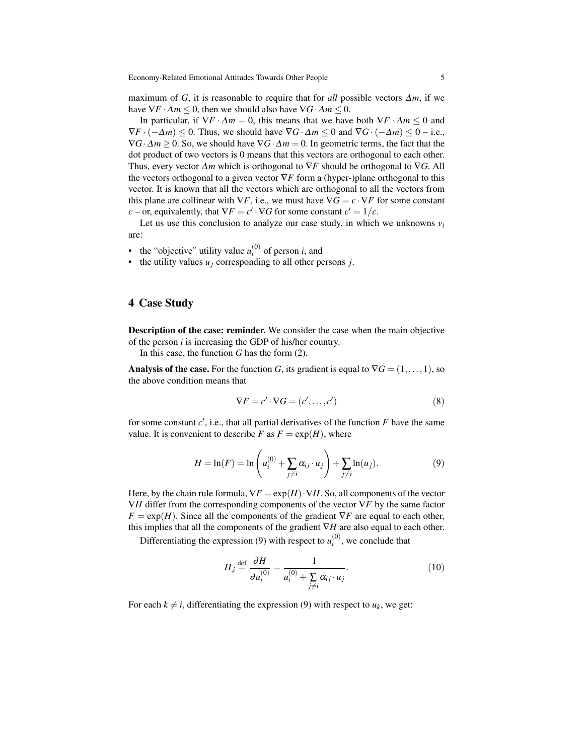maximum of *G*, it is reasonable to require that for *all* possible vectors  $\Delta m$ , if we have  $\nabla F \cdot \Delta m \leq 0$ , then we should also have  $\nabla G \cdot \Delta m \leq 0$ .

In particular, if  $\nabla F \cdot \Delta m = 0$ , this means that we have both  $\nabla F \cdot \Delta m \leq 0$  and  $\nabla F \cdot (-\Delta m) \le 0$ . Thus, we should have  $\nabla G \cdot \Delta m \le 0$  and  $\nabla G \cdot (-\Delta m) \le 0$  – i.e.,  $\nabla G \cdot \Delta m > 0$ . So, we should have  $\nabla G \cdot \Delta m = 0$ . In geometric terms, the fact that the dot product of two vectors is 0 means that this vectors are orthogonal to each other. Thus, every vector ∆*m* which is orthogonal to ∇*F* should be orthogonal to ∇*G*. All the vectors orthogonal to a given vector ∇*F* form a (hyper-)plane orthogonal to this vector. It is known that all the vectors which are orthogonal to all the vectors from this plane are collinear with  $\nabla F$ , i.e., we must have  $\nabla G = c \cdot \nabla F$  for some constant *c* – or, equivalently, that  $\nabla F = c' \cdot \nabla G$  for some constant  $c' = 1/c$ .

Let us use this conclusion to analyze our case study, in which we unknowns  $v_i$ are:

- the "objective" utility value  $u_i^{(0)}$  $i$ <sup>(v)</sup> of person *i*, and
- the utility values  $u_j$  corresponding to all other persons  $j$ .

#### 4 Case Study

Description of the case: reminder. We consider the case when the main objective of the person *i* is increasing the GDP of his/her country.

In this case, the function *G* has the form (2).

**Analysis of the case.** For the function *G*, its gradient is equal to  $\nabla G = (1, \ldots, 1)$ , so the above condition means that

$$
\nabla F = c' \cdot \nabla G = (c', \dots, c') \tag{8}
$$

for some constant *c* ′ , i.e., that all partial derivatives of the function *F* have the same value. It is convenient to describe *F* as  $F = \exp(H)$ , where

$$
H = \ln(F) = \ln\left(u_i^{(0)} + \sum_{j \neq i} \alpha_{ij} \cdot u_j\right) + \sum_{j \neq i} \ln(u_j). \tag{9}
$$

Here, by the chain rule formula,  $\nabla F = \exp(H) \cdot \nabla H$ . So, all components of the vector  $\nabla H$  differ from the corresponding components of the vector  $\nabla F$  by the same factor  $F = \exp(H)$ . Since all the components of the gradient  $\nabla F$  are equal to each other, this implies that all the components of the gradient ∇*H* are also equal to each other.

Differentiating the expression (9) with respect to  $u_i^{(0)}$  $i^{(0)}$ , we conclude that

$$
H_{,i} \stackrel{\text{def}}{=} \frac{\partial H}{\partial u_i^{(0)}} = \frac{1}{u_i^{(0)} + \sum_{j \neq i} \alpha_{ij} \cdot u_j}.
$$
 (10)

For each  $k \neq i$ , differentiating the expression (9) with respect to  $u_k$ , we get: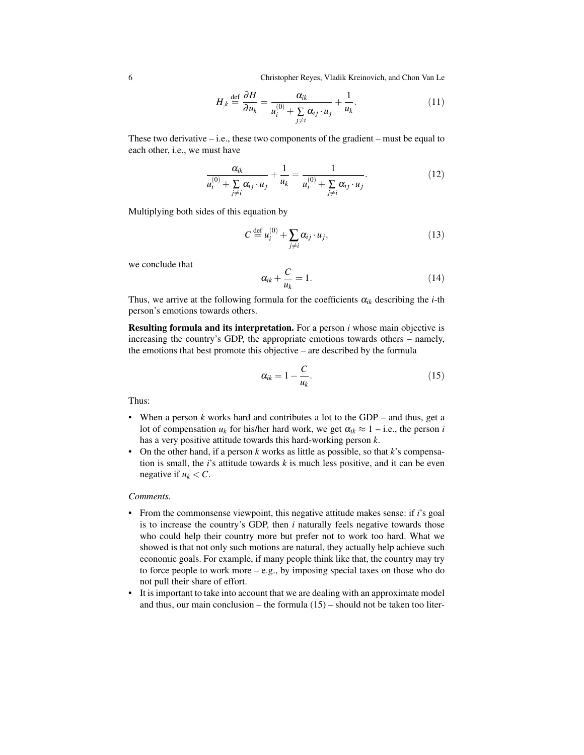6 Christopher Reyes, Vladik Kreinovich, and Chon Van Le

$$
H_{,k} \stackrel{\text{def}}{=} \frac{\partial H}{\partial u_k} = \frac{\alpha_{ik}}{u_i^{(0)} + \sum\limits_{j \neq i} \alpha_{ij} \cdot u_j} + \frac{1}{u_k}.
$$
 (11)

These two derivative  $-$  i.e., these two components of the gradient  $-$  must be equal to each other, i.e., we must have

$$
\frac{\alpha_{ik}}{u_i^{(0)} + \sum\limits_{j \neq i} \alpha_{ij} \cdot u_j} + \frac{1}{u_k} = \frac{1}{u_i^{(0)} + \sum\limits_{j \neq i} \alpha_{ij} \cdot u_j}.
$$
(12)

Multiplying both sides of this equation by

$$
C \stackrel{\text{def}}{=} u_i^{(0)} + \sum_{j \neq i} \alpha_{ij} \cdot u_j,\tag{13}
$$

we conclude that

$$
\alpha_{ik} + \frac{C}{u_k} = 1. \tag{14}
$$

Thus, we arrive at the following formula for the coefficients  $\alpha_{ik}$  describing the *i*-th person's emotions towards others.

Resulting formula and its interpretation. For a person *i* whose main objective is increasing the country's GDP, the appropriate emotions towards others – namely, the emotions that best promote this objective – are described by the formula

$$
\alpha_{ik} = 1 - \frac{C}{u_k}.\tag{15}
$$

Thus:

- When a person *k* works hard and contributes a lot to the GDP and thus, get a lot of compensation  $u_k$  for his/her hard work, we get  $\alpha_{ik} \approx 1$  – i.e., the person *i* has a very positive attitude towards this hard-working person *k*.
- On the other hand, if a person *k* works as little as possible, so that *k*'s compensation is small, the *i*'s attitude towards *k* is much less positive, and it can be even negative if  $u_k < C$ .

#### *Comments.*

- From the commonsense viewpoint, this negative attitude makes sense: if *i*'s goal is to increase the country's GDP, then *i* naturally feels negative towards those who could help their country more but prefer not to work too hard. What we showed is that not only such motions are natural, they actually help achieve such economic goals. For example, if many people think like that, the country may try to force people to work more – e.g., by imposing special taxes on those who do not pull their share of effort.
- It is important to take into account that we are dealing with an approximate model and thus, our main conclusion – the formula  $(15)$  – should not be taken too liter-